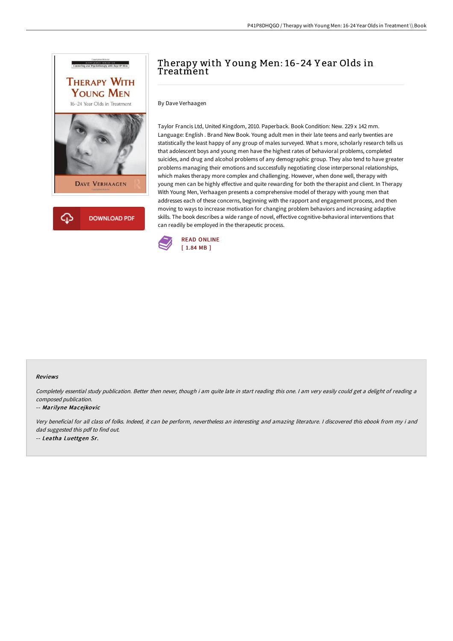



## Therapy with Y oung Men: 16-24 Y ear Olds in **Treatment**

By Dave Verhaagen

Taylor Francis Ltd, United Kingdom, 2010. Paperback. Book Condition: New. 229 x 142 mm. Language: English . Brand New Book. Young adult men in their late teens and early twenties are statistically the least happy of any group of males surveyed. What s more, scholarly research tells us that adolescent boys and young men have the highest rates of behavioral problems, completed suicides, and drug and alcohol problems of any demographic group. They also tend to have greater problems managing their emotions and successfully negotiating close interpersonal relationships, which makes therapy more complex and challenging. However, when done well, therapy with young men can be highly effective and quite rewarding for both the therapist and client. In Therapy With Young Men, Verhaagen presents a comprehensive model of therapy with young men that addresses each of these concerns, beginning with the rapport and engagement process, and then moving to ways to increase motivation for changing problem behaviors and increasing adaptive skills. The book describes a wide range of novel, effective cognitive-behavioral interventions that can readily be employed in the therapeutic process.



## Reviews

Completely essential study publication. Better then never, though i am quite late in start reading this one. <sup>I</sup> am very easily could get <sup>a</sup> delight of reading <sup>a</sup> composed publication.

## -- Marilyne Macejkovic

Very beneficial for all class of folks. Indeed, it can be perform, nevertheless an interesting and amazing literature. <sup>I</sup> discovered this ebook from my i and dad suggested this pdf to find out. -- Leatha Luettgen Sr.